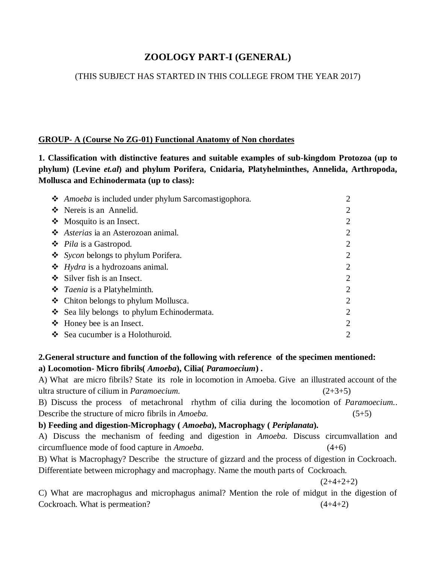# **ZOOLOGY PART-I (GENERAL)**

# (THIS SUBJECT HAS STARTED IN THIS COLLEGE FROM THE YEAR 2017)

### **GROUP- A (Course No ZG-01) Functional Anatomy of Non chordates**

**1. Classification with distinctive features and suitable examples of sub-kingdom Protozoa (up to phylum) (Levine** *et.al***) and phylum Porifera, Cnidaria, Platyhelminthes, Annelida, Arthropoda, Mollusca and Echinodermata (up to class):**

| • Amoeba is included under phylum Sarcomastigophora. | $\overline{2}$ |
|------------------------------------------------------|----------------|
| ❖ Nereis is an Annelid.                              | 2              |
| $\triangleleft$ Mosquito is an Insect.               | 2              |
| ❖ Asterias ia an Asterozoan animal.                  | $\overline{2}$ |
| ❖ <i>Pila</i> is a Gastropod.                        | 2              |
| ❖ <i>Sycon</i> belongs to phylum Porifera.           | 2              |
| $\triangleleft$ Hydra is a hydrozoans animal.        | 2              |
| $\div$ Silver fish is an Insect.                     | 2              |
| ❖ <i>Taenia</i> is a Platyhelminth.                  | $\overline{2}$ |
| ❖ Chiton belongs to phylum Mollusca.                 | 2              |
| ❖ Sea lily belongs to phylum Echinodermata.          | 2              |
| $\triangle$ Honey bee is an Insect.                  | 2              |
| ❖ Sea cucumber is a Holothuroid.                     | 2              |

# **2.General structure and function of the following with reference of the specimen mentioned: a) Locomotion- Micro fibrils(** *Amoeba***), Cilia(** *Paramoecium***) .**

A) What are micro fibrils? State its role in locomotion in Amoeba. Give an illustrated account of the ultra structure of cilium in *Paramoecium.* (2+3+5)

B) Discuss the process of metachronal rhythm of cilia during the locomotion of *Paramoecium.*. Describe the structure of micro fibrils in *Amoeba.* (5+5)

**b) Feeding and digestion-Microphagy (** *Amoeba***), Macrophagy (** *Periplanata***).**

A) Discuss the mechanism of feeding and digestion in *Amoeba.* Discuss circumvallation and circumfluence mode of food capture in *Amoeba.* (4+6)

B) What is Macrophagy? Describe the structure of gizzard and the process of digestion in Cockroach. Differentiate between microphagy and macrophagy. Name the mouth parts of Cockroach.

 $(2+4+2+2)$ 

C) What are macrophagus and microphagus animal? Mention the role of midgut in the digestion of Cockroach. What is permeation? (4+4+2)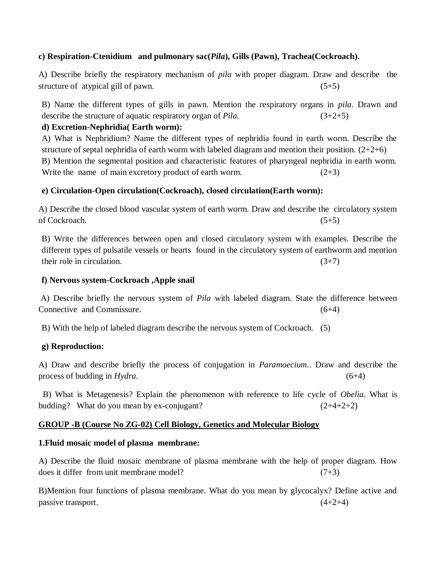# **c) Respiration-Ctenidium and pulmonary sac(***Pila***), Gills (Pawn), Trachea(Cockroach).**

A) Describe briefly the respiratory mechanism of *pila* with proper diagram. Draw and describe the structure of atypical gill of pawn. (5+5)

B) Name the different types of gills in pawn. Mention the respiratory organs in *pila*. Drawn and describe the structure of aquatic respiratory organ of *Pila*.  $(3+2+5)$ 

# **d) Excretion-Nephridia( Earth worm):**

A) What is Nephridium? Name the different types of nephridia found in earth worm. Describe the structure of septal nephridia of earth worm with labeled diagram and mention their position.  $(2+2+6)$ B) Mention the segmental position and characteristic features of pharyngeal nephridia in earth worm. Write the name of main excretory product of earth worm.  $(2+3)$ 

# **e) Circulation-Open circulation(Cockroach), closed circulation(Earth worm):**

A) Describe the closed blood vascular system of earth worm. Draw and describe the circulatory system of Cockroach. (5+5)

B) Write the differences between open and closed circulatory system with examples. Describe the different types of pulsatile vessels or hearts found in the circulatory system of earthworm and mention their role in circulation.  $(3+7)$ 

# **f) Nervous system-Cockroach ,Apple snail**

A) Describe briefly the nervous system of *Pila* with labeled diagram. State the difference between Connective and Commissure. (6+4)

B) With the help of labeled diagram describe the nervous system of Cockroach. (5)

# **g) Reproduction:**

A) Draw and describe briefly the process of conjugation in *Paramoecium.*. Draw and describe the process of budding in *Hydra*.  $(6+4)$ 

 B) What is Metagenesis? Explain the phenomenon with reference to life cycle of *Obelia*. What is budding? What do you mean by ex-conjugant?  $(2+4+2+2)$ 

# **GROUP -B (Course No ZG-02) Cell Biology, Genetics and Molecular Biology**

# **1.Fluid mosaic model of plasma membrane:**

A) Describe the fluid mosaic membrane of plasma membrane with the help of proper diagram. How does it differ from unit membrane model?  $(7+3)$ 

B)Mention four functions of plasma membrane. What do you mean by glycocalyx? Define active and passive transport.  $(4+2+4)$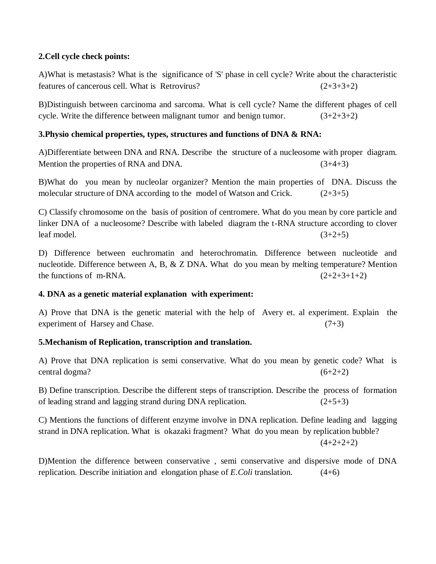# **2.Cell cycle check points:**

A)What is metastasis? What is the significance of 'S' phase in cell cycle? Write about the characteristic features of cancerous cell. What is Retrovirus?  $(2+3+3+2)$ 

B)Distinguish between carcinoma and sarcoma. What is cell cycle? Name the different phages of cell cycle. Write the difference between malignant tumor and benign tumor.  $(3+2+3+2)$ 

### **3.Physio chemical properties, types, structures and functions of DNA & RNA:**

A)Differentiate between DNA and RNA. Describe the structure of a nucleosome with proper diagram. Mention the properties of RNA and DNA.  $(3+4+3)$ 

B)What do you mean by nucleolar organizer? Mention the main properties of DNA. Discuss the molecular structure of DNA according to the model of Watson and Crick.  $(2+3+5)$ 

C) Classify chromosome on the basis of position of centromere. What do you mean by core particle and linker DNA of a nucleosome? Describe with labeled diagram the t-RNA structure according to clover leaf model.  $(3+2+5)$ 

D) Difference between euchromatin and heterochromatin. Difference between nucleotide and nucleotide. Difference between A, B, & Z DNA. What do you mean by melting temperature? Mention the functions of m-RNA.  $(2+2+3+1+2)$ 

#### **4. DNA as a genetic material explanation with experiment:**

A) Prove that DNA is the genetic material with the help of Avery et. al experiment. Explain the experiment of Harsey and Chase.  $(7+3)$ 

# **5.Mechanism of Replication, transcription and translation.**

A) Prove that DNA replication is semi conservative. What do you mean by genetic code? What is central dogma? (6+2+2)

B) Define transcription. Describe the different steps of transcription. Describe the process of formation of leading strand and lagging strand during DNA replication. (2+5+3)

C) Mentions the functions of different enzyme involve in DNA replication. Define leading and lagging strand in DNA replication. What is okazaki fragment? What do you mean by replication bubble?

 $(4+2+2+2)$ 

D)Mention the difference between conservative , semi conservative and dispersive mode of DNA replication. Describe initiation and elongation phase of *E.Coli* translation. (4+6)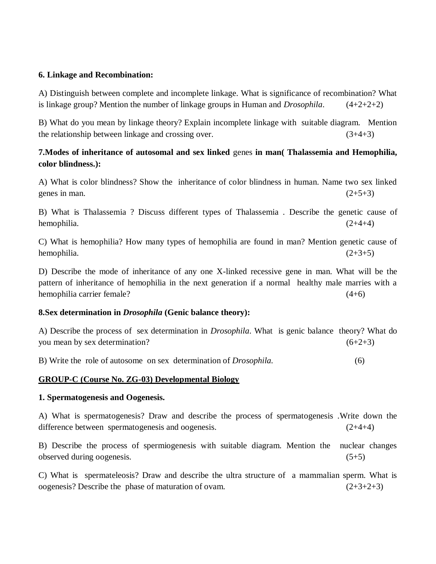#### **6. Linkage and Recombination:**

A) Distinguish between complete and incomplete linkage. What is significance of recombination? What is linkage group? Mention the number of linkage groups in Human and *Drosophila*. (4+2+2+2)

B) What do you mean by linkage theory? Explain incomplete linkage with suitable diagram. Mention the relationship between linkage and crossing over.  $(3+4+3)$ 

# **7.Modes of inheritance of autosomal and sex linked** genes **in man( Thalassemia and Hemophilia, color blindness.):**

A) What is color blindness? Show the inheritance of color blindness in human. Name two sex linked genes in man.  $(2+5+3)$ 

B) What is Thalassemia ? Discuss different types of Thalassemia . Describe the genetic cause of hemophilia.  $(2+4+4)$ 

C) What is hemophilia? How many types of hemophilia are found in man? Mention genetic cause of hemophilia.  $(2+3+5)$ 

D) Describe the mode of inheritance of any one X-linked recessive gene in man. What will be the pattern of inheritance of hemophilia in the next generation if a normal healthy male marries with a hemophilia carrier female? (4+6)

#### **8.Sex determination in** *Drosophila* **(Genic balance theory):**

A) Describe the process of sex determination in *Drosophila*. What is genic balance theory? What do you mean by sex determination?  $(6+2+3)$ 

B) Write the role of autosome on sex determination of *Drosophila.* (6)

# **GROUP-C (Course No. ZG-03) Developmental Biology**

#### **1. Spermatogenesis and Oogenesis.**

A) What is spermatogenesis? Draw and describe the process of spermatogenesis .Write down the difference between spermatogenesis and oogenesis. (2+4+4)

B) Describe the process of spermiogenesis with suitable diagram. Mention the nuclear changes observed during oogenesis. (5+5)

C) What is spermateleosis? Draw and describe the ultra structure of a mammalian sperm. What is oogenesis? Describe the phase of maturation of ovam.  $(2+3+2+3)$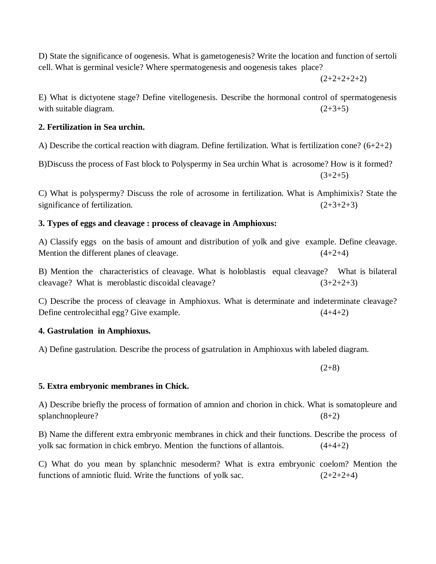D) State the significance of oogenesis. What is gametogenesis? Write the location and function of sertoli cell. What is germinal vesicle? Where spermatogenesis and oogenesis takes place?

 $(2+2+2+2+2)$ 

E) What is dictyotene stage? Define vitellogenesis. Describe the hormonal control of spermatogenesis with suitable diagram.  $(2+3+5)$ 

### **2. Fertilization in Sea urchin.**

A) Describe the cortical reaction with diagram. Define fertilization. What is fertilization cone?  $(6+2+2)$ 

B)Discuss the process of Fast block to Polyspermy in Sea urchin What is acrosome? How is it formed?  $(3+2+5)$ 

C) What is polyspermy? Discuss the role of acrosome in fertilization. What is Amphimixis? State the significance of fertilization.  $(2+3+2+3)$ 

# **3. Types of eggs and cleavage : process of cleavage in Amphioxus:**

A) Classify eggs on the basis of amount and distribution of yolk and give example. Define cleavage. Mention the different planes of cleavage.  $(4+2+4)$ 

B) Mention the characteristics of cleavage. What is holoblastis equal cleavage? What is bilateral cleavage? What is meroblastic discoidal cleavage?  $(3+2+2+3)$ 

C) Describe the process of cleavage in Amphioxus. What is determinate and indeterminate cleavage? Define centrolecithal egg? Give example. (4+4+2)

# **4. Gastrulation in Amphioxus.**

A) Define gastrulation. Describe the process of gsatrulation in Amphioxus with labeled diagram.

 $(2+8)$ 

# **5. Extra embryonic membranes in Chick.**

A) Describe briefly the process of formation of amnion and chorion in chick. What is somatopleure and splanchnopleure? (8+2)

B) Name the different extra embryonic membranes in chick and their functions. Describe the process of yolk sac formation in chick embryo. Mention the functions of allantois. (4+4+2)

C) What do you mean by splanchnic mesoderm? What is extra embryonic coelom? Mention the functions of amniotic fluid. Write the functions of yolk sac.  $(2+2+2+4)$